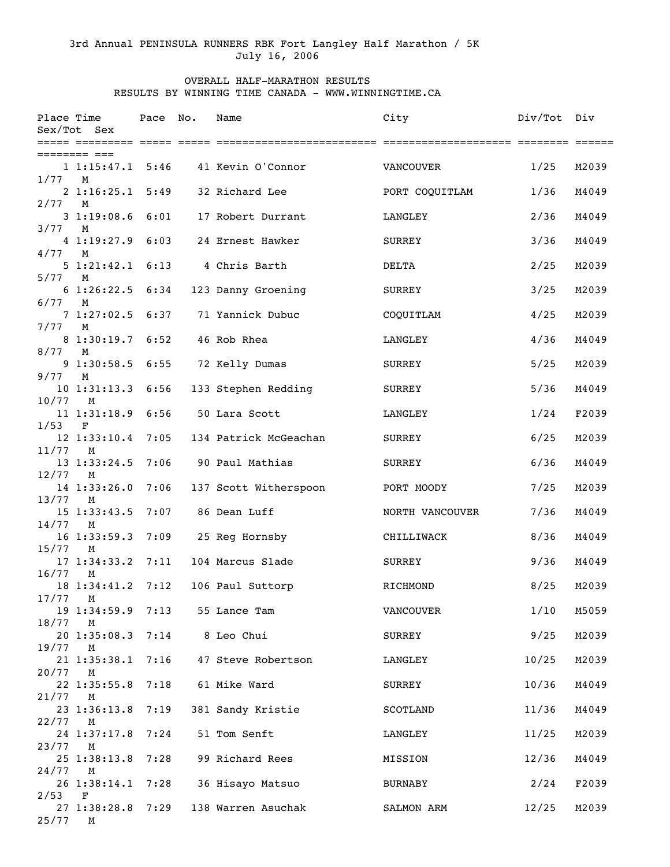## 3rd Annual PENINSULA RUNNERS RBK Fort Langley Half Marathon / 5K July 16, 2006

## OVERALL HALF-MARATHON RESULTS RESULTS BY WINNING TIME CANADA - WWW.WINNINGTIME.CA

| Place Time | Sex/Tot Sex                       | Pace | No. | Name                                 | City            | Div/Tot | Div   |
|------------|-----------------------------------|------|-----|--------------------------------------|-----------------|---------|-------|
|            |                                   |      |     |                                      |                 |         |       |
| 1/77       | 1 1:15:47.1 5:46<br>M             |      |     | 41 Kevin O'Connor                    | VANCOUVER       | 1/25    | M2039 |
|            | 2 1:16:25.1                       | 5:49 |     | 32 Richard Lee                       | PORT COQUITLAM  | 1/36    | M4049 |
| 2/77       | M<br>31:19:08.6                   | 6:01 |     | 17 Robert Durrant                    | LANGLEY         | 2/36    | M4049 |
| 3/77       | М<br>41:19:27.9                   | 6:03 |     | 24 Ernest Hawker                     | SURREY          | 3/36    | M4049 |
| 4/77       | M<br>51:21:42.16:13               |      |     | 4 Chris Barth                        | <b>DELTA</b>    | 2/25    | M2039 |
| 5/77       | M                                 |      |     |                                      |                 |         |       |
| 6/77       | 61:26:22.56:34<br>М               |      |     | 123 Danny Groening                   | <b>SURREY</b>   | 3/25    | M2039 |
| 7/77       | 7 1:27:02.5 6:37<br>M             |      |     | 71 Yannick Dubuc                     | COQUITLAM       | 4/25    | M2039 |
| 8/77       | 8 1:30:19.7 6:52<br>M             |      |     | 46 Rob Rhea                          | LANGLEY         | 4/36    | M4049 |
|            | 91:30:58.5                        | 6:55 |     | 72 Kelly Dumas                       | SURREY          | 5/25    | M2039 |
| 9/77       | М<br>10 1:31:13.3                 | 6:56 |     | 133 Stephen Redding                  | <b>SURREY</b>   | 5/36    | M4049 |
| 10/77      | М<br>11 1:31:18.9                 | 6:56 |     | 50 Lara Scott                        | LANGLEY         | 1/24    | F2039 |
| 1/53       | $\mathbf F$<br>12 1:33:10.4       | 7:05 |     | 134 Patrick McGeachan                | SURREY          | 6/25    | M2039 |
| 11/77      | M                                 |      |     |                                      |                 |         |       |
| 12/77      | 13 1:33:24.5<br>M                 | 7:06 |     | 90 Paul Mathias                      | SURREY          | 6/36    | M4049 |
| 13/77      | 14 1:33:26.0<br>М                 | 7:06 |     | 137 Scott Witherspoon                | PORT MOODY      | 7/25    | M2039 |
| 14/77      | $15$ $1:33:43.5$<br>М             | 7:07 |     | 86 Dean Luff                         | NORTH VANCOUVER | 7/36    | M4049 |
| 15/77      | 16 1:33:59.3 7:09<br>М            |      |     | 25 Reg Hornsby                       | CHILLIWACK      | 8/36    | M4049 |
| 16/77      | 17 1:34:33.2 7:11                 |      |     | 104 Marcus Slade                     | SURREY          | 9/36    | M4049 |
|            | M<br>18 1:34:41.2 7:12            |      |     | 106 Paul Suttorp                     | RICHMOND        | 8/25    | M2039 |
| 17/77 M    |                                   |      |     | 19 1:34:59.9 7:13 55 Lance Tam       | VANCOUVER       | 1/10    | M5059 |
| 18/77      | M<br>20 1:35:08.3 7:14 8 Leo Chui |      |     |                                      | SURREY          | 9/25    | M2039 |
| 19/77      | M                                 |      |     | 21 1:35:38.1 7:16 47 Steve Robertson | LANGLEY         | 10/25   | M2039 |
| $20/77$ M  |                                   |      |     | 7:18 61 Mike Ward                    | SURREY          |         | M4049 |
| 21/77      | 22 1:35:55.8<br>M                 |      |     |                                      |                 | 10/36   |       |
| $22/77$ M  | 23 1:36:13.8 7:19                 |      |     | 381 Sandy Kristie                    | SCOTLAND        | 11/36   | M4049 |
| 23/77 M    | 24 1:37:17.8 7:24                 |      |     | 51 Tom Senft                         | LANGLEY         | 11/25   | M2039 |
| $24/77$ M  | 25 1:38:13.8 7:28                 |      |     | 99 Richard Rees                      | MISSION         | 12/36   | M4049 |
|            |                                   |      |     | 26 1:38:14.1 7:28 36 Hisayo Matsuo   | BURNABY         | 2/24    | F2039 |
| 2/53       | $\mathbf F$                       |      |     | 27 1:38:28.8 7:29 138 Warren Asuchak | SALMON ARM      | 12/25   | M2039 |
| 25/77      | M                                 |      |     |                                      |                 |         |       |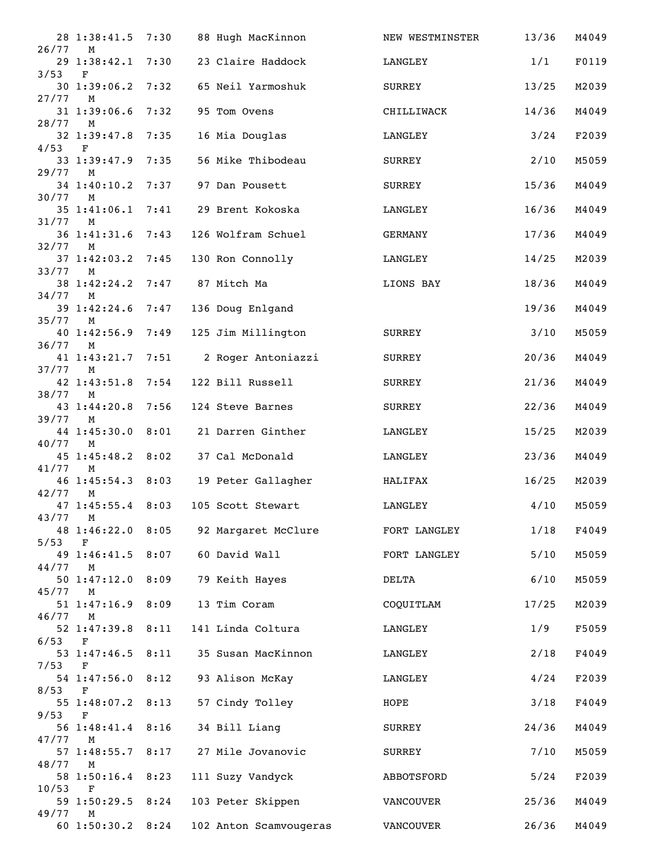|              | 28 1:38:41.5                                | 7:30 | 88 Hugh MacKinnon      | NEW WESTMINSTER | 13/36  | M4049 |
|--------------|---------------------------------------------|------|------------------------|-----------------|--------|-------|
| 26/77        | M<br>29 1:38:42.1                           | 7:30 | 23 Claire Haddock      | LANGLEY         | 1/1    | F0119 |
| 3/53         | $\mathbf F$<br>$30 \; 1:39:06.2$            | 7:32 | 65 Neil Yarmoshuk      | SURREY          | 13/25  | M2039 |
| 27/77        | M<br>31 1:39:06.6                           | 7:32 | 95 Tom Ovens           | CHILLIWACK      | 14/36  | M4049 |
| 28/77        | M<br>32 1:39:47.8                           | 7:35 | 16 Mia Douglas         | LANGLEY         | 3/24   | F2039 |
| 4/53         | $\mathbf F$<br>33 1:39:47.9                 | 7:35 | 56 Mike Thibodeau      | SURREY          | 2/10   | M5059 |
| 29/77        | M                                           |      |                        |                 |        |       |
| 30/77        | 34 1:40:10.2<br>M                           | 7:37 | 97 Dan Pousett         | SURREY          | 15/36  | M4049 |
| 31/77        | 35 1:41:06.1<br>М                           | 7:41 | 29 Brent Kokoska       | LANGLEY         | 16/36  | M4049 |
| 32/77        | 36 1:41:31.6<br>М                           | 7:43 | 126 Wolfram Schuel     | GERMANY         | 17/36  | M4049 |
| 33/77        | 37 1:42:03.2<br>М                           | 7:45 | 130 Ron Connolly       | LANGLEY         | 14/25  | M2039 |
|              | 38 1:42:24.2                                | 7:47 | 87 Mitch Ma            | LIONS BAY       | 18/36  | M4049 |
| 34/77        | M<br>39 1:42:24.6                           | 7:47 | 136 Doug Enlgand       |                 | 19/36  | M4049 |
| 35/77        | М<br>40 1:42:56.9                           | 7:49 | 125 Jim Millington     | SURREY          | $3/10$ | M5059 |
| 36/77        | M<br>41 1:43:21.7                           | 7:51 | 2 Roger Antoniazzi     | SURREY          | 20/36  | M4049 |
| 37/77        | M                                           | 7:54 | 122 Bill Russell       |                 | 21/36  | M4049 |
| 38/77        | 42 1:43:51.8<br>M                           |      |                        | SURREY          |        |       |
| 39/77        | 43 1:44:20.8<br>М                           | 7:56 | 124 Steve Barnes       | SURREY          | 22/36  | M4049 |
| 40/77        | 44 1:45:30.0<br>М                           | 8:01 | 21 Darren Ginther      | LANGLEY         | 15/25  | M2039 |
| 41/77        | $45$ 1:45:48.2<br>М                         | 8:02 | 37 Cal McDonald        | LANGLEY         | 23/36  | M4049 |
| 42/77        | 46 1:45:54.3 8:03<br>M                      |      | 19 Peter Gallagher     | HALIFAX         | 16/25  | M2039 |
|              | 47 1:45:55.4 8:03                           |      | 105 Scott Stewart      | LANGLEY         | 4/10   | M5059 |
| 43/77 M      | 48 1:46:22.0 8:05                           |      | 92 Margaret McClure    | FORT LANGLEY    | 1/18   | F4049 |
| 5/53         | F<br>49 1:46:41.5                           | 8:07 | 60 David Wall          | FORT LANGLEY    | $5/10$ | M5059 |
| 44/77        | M<br>50 1:47:12.0                           | 8:09 | 79 Keith Hayes         | DELTA           | $6/10$ | M5059 |
| 45/77        | M                                           |      |                        |                 |        |       |
| $46/77$ M    | 51 1:47:16.9                                | 8:09 | 13 Tim Coram           | COQUITLAM       | 17/25  | M2039 |
| 6/53         | 52 1:47:39.8<br>F                           | 8:11 | 141 Linda Coltura      | LANGLEY         | 1/9    | F5059 |
|              | 53 1:47:46.5                                | 8:11 | 35 Susan MacKinnon     | LANGLEY         | 2/18   | F4049 |
| 7/53<br>8/53 | $\mathbf F$<br>54 1:47:56.0<br>$\mathbf{F}$ | 8:12 | 93 Alison McKay        | LANGLEY         | 4/24   | F2039 |
|              | 55 1:48:07.2 8:13                           |      | 57 Cindy Tolley        | HOPE            | 3/18   | F4049 |
| 9/53         | F<br>56 1:48:41.4 8:16                      |      | 34 Bill Liang          | SURREY          | 24/36  | M4049 |
| 47/77        | М<br>57 1:48:55.7                           | 8:17 | 27 Mile Jovanovic      | SURREY          | 7/10   | M5059 |
| 48/77        | M<br>58 1:50:16.4                           | 8:23 | 111 Suzy Vandyck       | ABBOTSFORD      | 5/24   | F2039 |
| 10/53        | $\mathbf{F}$<br>59 1:50:29.5                | 8:24 | 103 Peter Skippen      | VANCOUVER       | 25/36  | M4049 |
| 49/77        | M<br>60 1:50:30.2 8:24                      |      | 102 Anton Scamvougeras | VANCOUVER       | 26/36  | M4049 |
|              |                                             |      |                        |                 |        |       |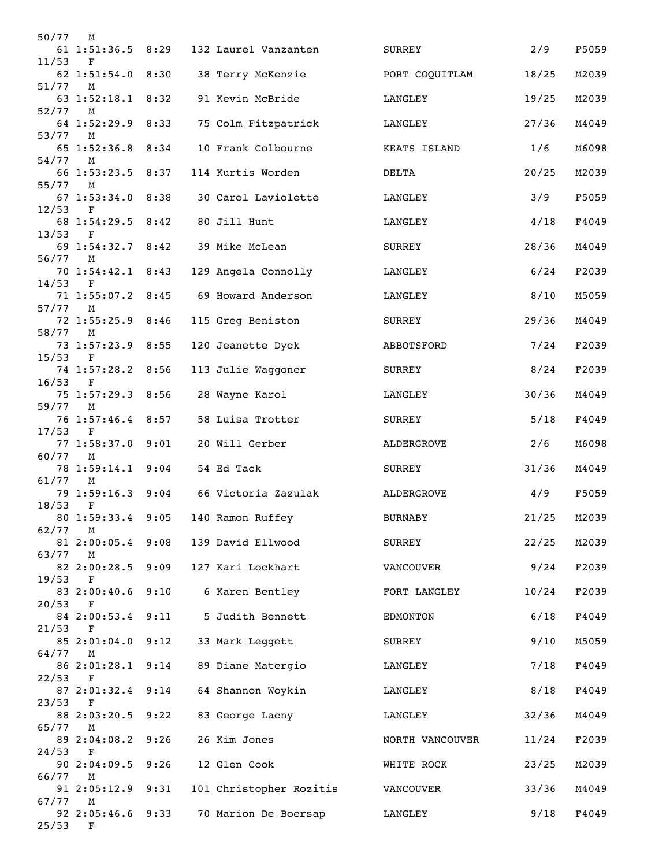| 50/77     | M                                |      |                         |                 |        |       |
|-----------|----------------------------------|------|-------------------------|-----------------|--------|-------|
| 11/53     | 61 1:51:36.5 8:29<br>$\mathbf F$ |      | 132 Laurel Vanzanten    | SURREY          | 2/9    | F5059 |
| 51/77     | 62 1:51:54.0<br>M                | 8:30 | 38 Terry McKenzie       | PORT COQUITLAM  | 18/25  | M2039 |
| 52/77     | 63 1:52:18.1 8:32                |      | 91 Kevin McBride        | LANGLEY         | 19/25  | M2039 |
| 53/77     | M<br>64 1:52:29.9<br>M           | 8:33 | 75 Colm Fitzpatrick     | LANGLEY         | 27/36  | M4049 |
| 54/77 M   | 65 1:52:36.8 8:34                |      | 10 Frank Colbourne      | KEATS ISLAND    | 1/6    | M6098 |
| 55/77     | 66 1:53:23.5 8:37<br>M           |      | 114 Kurtis Worden       | DELTA           | 20/25  | M2039 |
| 12/53     | 67 1:53:34.0 8:38<br>F           |      | 30 Carol Laviolette     | LANGLEY         | 3/9    | F5059 |
| 13/53     | 68 1:54:29.5 8:42<br>$\mathbf F$ |      | 80 Jill Hunt            | LANGLEY         | 4/18   | F4049 |
| 56/77 M   | 69 1:54:32.7 8:42                |      | 39 Mike McLean          | SURREY          | 28/36  | M4049 |
| 14/53     | 70 1:54:42.1 8:43<br>$\mathbf F$ |      | 129 Angela Connolly     | LANGLEY         | 6/24   | F2039 |
| 57/77     | 71 1:55:07.2 8:45<br>M           |      | 69 Howard Anderson      | LANGLEY         | 8/10   | M5059 |
| 58/77 M   | 72 1:55:25.9                     | 8:46 | 115 Greg Beniston       | SURREY          | 29/36  | M4049 |
| $15/53$ F | 73 1:57:23.9 8:55                |      | 120 Jeanette Dyck       | ABBOTSFORD      | 7/24   | F2039 |
| 16/53     | 74 1:57:28.2 8:56<br>F           |      | 113 Julie Waggoner      | SURREY          | $8/24$ | F2039 |
| 59/77     | 75 1:57:29.3 8:56<br>M           |      | 28 Wayne Karol          | LANGLEY         | 30/36  | M4049 |
| 17/53     | 76 1:57:46.4 8:57<br>$\mathbf F$ |      | 58 Luisa Trotter        | SURREY          | $5/18$ | F4049 |
| 60/77     | 77 1:58:37.0<br>$M_{\odot}$      | 9:01 | 20 Will Gerber          | ALDERGROVE      | 2/6    | M6098 |
| 61/77     | 78 1:59:14.1 9:04<br>M           |      | 54 Ed Tack              | SURREY          | 31/36  | M4049 |
| 18/53     | 79 1:59:16.3<br>F                | 9:04 | 66 Victoria Zazulak     | ALDERGROVE      | 4/9    | F5059 |
| 62/77     | 80 1:59:33.4<br>M                | 9:05 | 140 Ramon Ruffey        | <b>BURNABY</b>  | 21/25  | M2039 |
| 63/77     | 81 2:00:05.4 9:08<br>M           |      | 139 David Ellwood       | SURREY          | 22/25  | M2039 |
| 19/53     | 82 2:00:28.5<br>F                | 9:09 | 127 Kari Lockhart       | VANCOUVER       | 9/24   | F2039 |
| 20/53     | 83 2:00:40.6<br>F                | 9:10 | 6 Karen Bentley         | FORT LANGLEY    | 10/24  | F2039 |
| $21/53$ F | 84 2:00:53.4                     | 9:11 | 5 Judith Bennett        | EDMONTON        | 6/18   | F4049 |
| 64/77 M   | 85 2:01:04.0 9:12                |      | 33 Mark Leggett         | SURREY          | 9/10   | M5059 |
| 22/53     | 86 2:01:28.1 9:14<br>$\mathbf F$ |      | 89 Diane Matergio       | LANGLEY         | 7/18   | F4049 |
| 23/53     | 87 2:01:32.4<br>F                | 9:14 | 64 Shannon Woykin       | LANGLEY         | 8/18   | F4049 |
| 65/77     | 88 2:03:20.5<br>М                | 9:22 | 83 George Lacny         | LANGLEY         | 32/36  | M4049 |
| 24/53     | 89 2:04:08.2<br>F                | 9:26 | 26 Kim Jones            | NORTH VANCOUVER | 11/24  | F2039 |
| 66/77     | 90 2:04:09.5<br>M                | 9:26 | 12 Glen Cook            | WHITE ROCK      | 23/25  | M2039 |
| 67/77     | 91 2:05:12.9<br>M                | 9:31 | 101 Christopher Rozitis | VANCOUVER       | 33/36  | M4049 |
| $25/53$ F | 92 2:05:46.6 9:33                |      | 70 Marion De Boersap    | LANGLEY         | 9/18   | F4049 |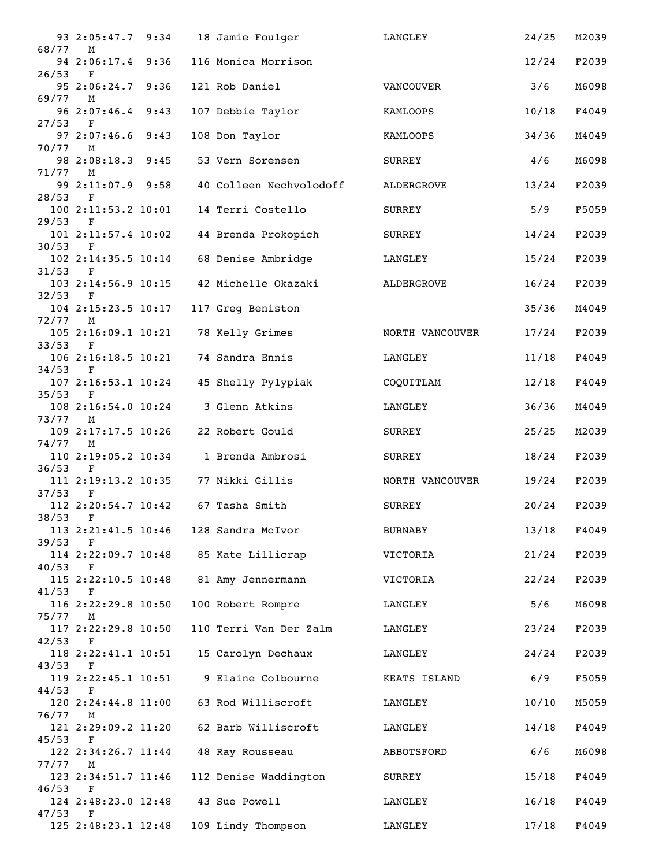|           | 93 2:05:47.7 9:34                   |      | 18 Jamie Foulger                       | LANGLEY         | 24/25 | M2039 |
|-----------|-------------------------------------|------|----------------------------------------|-----------------|-------|-------|
| 68/77     | M<br>94 2:06:17.4 9:36              |      | 116 Monica Morrison                    |                 | 12/24 | F2039 |
| 26/53     | F<br>95 2:06:24.7 9:36              |      | 121 Rob Daniel                         | VANCOUVER       | 3/6   | M6098 |
| 69/77 M   | 96 2:07:46.4                        | 9:43 | 107 Debbie Taylor                      | KAMLOOPS        | 10/18 | F4049 |
| 27/53     | $_{\rm F}$                          |      |                                        |                 |       |       |
| 70/77     | 97 2:07:46.6<br>M                   | 9:43 | 108 Don Taylor                         | KAMLOOPS        | 34/36 | M4049 |
| 71/77     | 98 2:08:18.3<br>M                   | 9:45 | 53 Vern Sorensen                       | <b>SURREY</b>   | 4/6   | M6098 |
| 28/53 F   | 99 2:11:07.9 9:58                   |      | 40 Colleen Nechvolodoff                | ALDERGROVE      | 13/24 | F2039 |
|           | 100 2:11:53.2 10:01                 |      | 14 Terri Costello                      | SURREY          | 5/9   | F5059 |
| 29/53     | $_{\rm F}$<br>101 2:11:57.4 10:02   |      | 44 Brenda Prokopich                    | SURREY          | 14/24 | F2039 |
| 30/53     | F<br>102 2:14:35.5 10:14            |      | 68 Denise Ambridge                     | LANGLEY         | 15/24 | F2039 |
| 31/53     | F                                   |      |                                        |                 |       |       |
| 32/53     | 103 2:14:56.9 10:15<br>$\mathbf{F}$ |      | 42 Michelle Okazaki                    | ALDERGROVE      | 16/24 | F2039 |
| 72/77     | 104 2:15:23.5 10:17<br>M            |      | 117 Greg Beniston                      |                 | 35/36 | M4049 |
|           | 105 2:16:09.1 10:21                 |      | 78 Kelly Grimes                        | NORTH VANCOUVER | 17/24 | F2039 |
| 33/53     | $\mathbf F$<br>106 2:16:18.5 10:21  |      | 74 Sandra Ennis                        | LANGLEY         | 11/18 | F4049 |
| $34/53$ F |                                     |      | 45 Shelly Pylypiak                     |                 |       |       |
| $35/53$ F | 107 2:16:53.1 10:24                 |      |                                        | COQUITLAM       | 12/18 | F4049 |
| 73/77     | 108 2:16:54.0 10:24<br>М            |      | 3 Glenn Atkins                         | LANGLEY         | 36/36 | M4049 |
| 74/77     | 109 2:17:17.5 10:26<br>М            |      | 22 Robert Gould                        | SURREY          | 25/25 | M2039 |
|           | 110 2:19:05.2 10:34                 |      | 1 Brenda Ambrosi                       | <b>SURREY</b>   | 18/24 | F2039 |
| 36/53     | F<br>111 2:19:13.2 10:35            |      | 77 Nikki Gillis                        | NORTH VANCOUVER | 19/24 | F2039 |
| 37/53     | $\mathbf F$<br>112 2:20:54.7 10:42  |      | 67 Tasha Smith                         | <b>SURREY</b>   | 20/24 | F2039 |
| 38/53 F   |                                     |      |                                        |                 |       |       |
| 39/53     | $_{\rm F}$                          |      | 113 2:21:41.5 10:46 128 Sandra McIvor  | BURNABY         | 13/18 | F4049 |
| 40/53     | F                                   |      | 114 2:22:09.7 10:48 85 Kate Lillicrap  | VICTORIA        | 21/24 | F2039 |
| $41/53$ F |                                     |      | 115 2:22:10.5 10:48 81 Amy Jennermann  | VICTORIA        | 22/24 | F2039 |
|           | 116 2:22:29.8 10:50                 |      | 100 Robert Rompre                      | LANGLEY         | 5/6   | M6098 |
| 75/77 M   | 117 2:22:29.8 10:50                 |      | 110 Terri Van Der Zalm                 | LANGLEY         | 23/24 | F2039 |
| 42/53     | $\mathbf{F}$                        |      |                                        |                 |       |       |
| $43/53$ F |                                     |      | 118 2:22:41.1 10:51 15 Carolyn Dechaux | LANGLEY         | 24/24 | F2039 |
| $44/53$ F |                                     |      | 119 2:22:45.1 10:51 9 Elaine Colbourne | KEATS ISLAND    | 6/9   | F5059 |
| 76/77 M   |                                     |      | 120 2:24:44.8 11:00 63 Rod Williscroft | LANGLEY         | 10/10 | M5059 |
|           | 121 2:29:09.2 11:20                 |      | 62 Barb Williscroft                    | LANGLEY         | 14/18 | F4049 |
| 45/53     | F<br>122 2:34:26.7 11:44            |      | 48 Ray Rousseau                        | ABBOTSFORD      | 6/6   | M6098 |
| 77/77     | M<br>123 2:34:51.7 11:46            |      | 112 Denise Waddington                  | SURREY          | 15/18 | F4049 |
| $46/53$ F |                                     |      | 124 2:48:23.0 12:48 43 Sue Powell      | LANGLEY         | 16/18 | F4049 |
| 47/53     | $\mathbf{F}$<br>125 2:48:23.1 12:48 |      | 109 Lindy Thompson                     | LANGLEY         | 17/18 | F4049 |